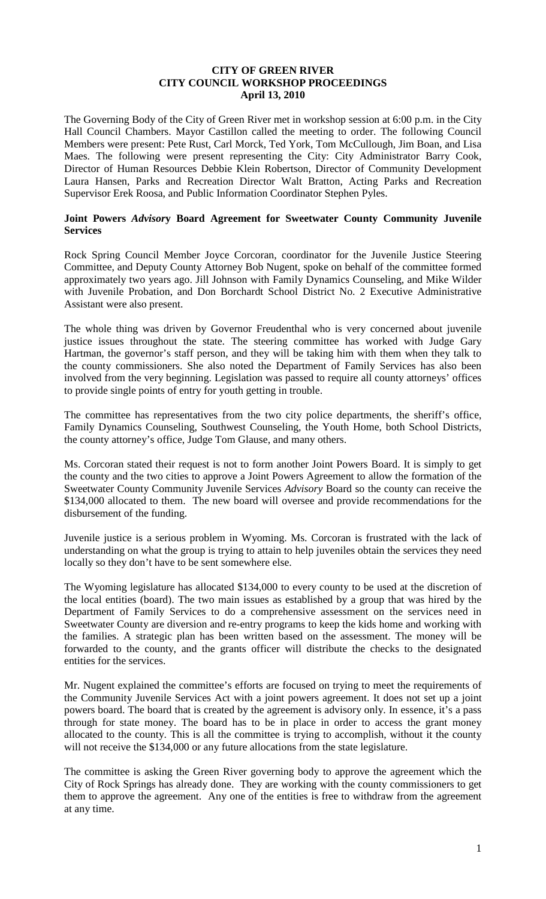### **CITY OF GREEN RIVER CITY COUNCIL WORKSHOP PROCEEDINGS April 13, 2010**

The Governing Body of the City of Green River met in workshop session at 6:00 p.m. in the City Hall Council Chambers. Mayor Castillon called the meeting to order. The following Council Members were present: Pete Rust, Carl Morck, Ted York, Tom McCullough, Jim Boan, and Lisa Maes. The following were present representing the City: City Administrator Barry Cook, Director of Human Resources Debbie Klein Robertson, Director of Community Development Laura Hansen, Parks and Recreation Director Walt Bratton, Acting Parks and Recreation Supervisor Erek Roosa, and Public Information Coordinator Stephen Pyles.

### **Joint Powers** *Advisor***y Board Agreement for Sweetwater County Community Juvenile Services**

Rock Spring Council Member Joyce Corcoran, coordinator for the Juvenile Justice Steering Committee, and Deputy County Attorney Bob Nugent, spoke on behalf of the committee formed approximately two years ago. Jill Johnson with Family Dynamics Counseling, and Mike Wilder with Juvenile Probation, and Don Borchardt School District No. 2 Executive Administrative Assistant were also present.

The whole thing was driven by Governor Freudenthal who is very concerned about juvenile justice issues throughout the state. The steering committee has worked with Judge Gary Hartman, the governor's staff person, and they will be taking him with them when they talk to the county commissioners. She also noted the Department of Family Services has also been involved from the very beginning. Legislation was passed to require all county attorneys' offices to provide single points of entry for youth getting in trouble.

The committee has representatives from the two city police departments, the sheriff's office, Family Dynamics Counseling, Southwest Counseling, the Youth Home, both School Districts, the county attorney's office, Judge Tom Glause, and many others.

Ms. Corcoran stated their request is not to form another Joint Powers Board. It is simply to get the county and the two cities to approve a Joint Powers Agreement to allow the formation of the Sweetwater County Community Juvenile Services *Advisory* Board so the county can receive the \$134,000 allocated to them. The new board will oversee and provide recommendations for the disbursement of the funding.

Juvenile justice is a serious problem in Wyoming. Ms. Corcoran is frustrated with the lack of understanding on what the group is trying to attain to help juveniles obtain the services they need locally so they don't have to be sent somewhere else.

The Wyoming legislature has allocated \$134,000 to every county to be used at the discretion of the local entities (board). The two main issues as established by a group that was hired by the Department of Family Services to do a comprehensive assessment on the services need in Sweetwater County are diversion and re-entry programs to keep the kids home and working with the families. A strategic plan has been written based on the assessment. The money will be forwarded to the county, and the grants officer will distribute the checks to the designated entities for the services.

Mr. Nugent explained the committee's efforts are focused on trying to meet the requirements of the Community Juvenile Services Act with a joint powers agreement. It does not set up a joint powers board. The board that is created by the agreement is advisory only. In essence, it's a pass through for state money. The board has to be in place in order to access the grant money allocated to the county. This is all the committee is trying to accomplish, without it the county will not receive the \$134,000 or any future allocations from the state legislature.

The committee is asking the Green River governing body to approve the agreement which the City of Rock Springs has already done. They are working with the county commissioners to get them to approve the agreement. Any one of the entities is free to withdraw from the agreement at any time.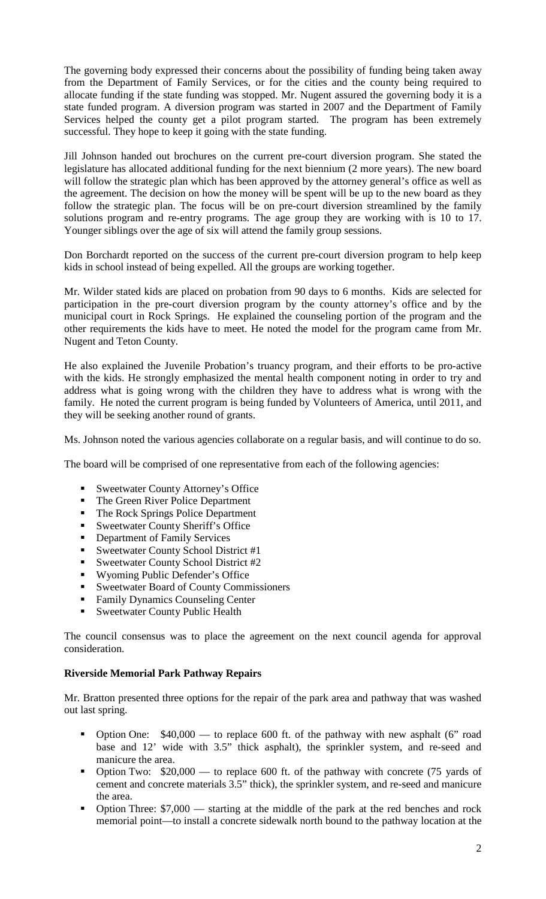The governing body expressed their concerns about the possibility of funding being taken away from the Department of Family Services, or for the cities and the county being required to allocate funding if the state funding was stopped. Mr. Nugent assured the governing body it is a state funded program. A diversion program was started in 2007 and the Department of Family Services helped the county get a pilot program started. The program has been extremely successful. They hope to keep it going with the state funding.

Jill Johnson handed out brochures on the current pre-court diversion program. She stated the legislature has allocated additional funding for the next biennium (2 more years). The new board will follow the strategic plan which has been approved by the attorney general's office as well as the agreement. The decision on how the money will be spent will be up to the new board as they follow the strategic plan. The focus will be on pre-court diversion streamlined by the family solutions program and re-entry programs. The age group they are working with is 10 to 17. Younger siblings over the age of six will attend the family group sessions.

Don Borchardt reported on the success of the current pre-court diversion program to help keep kids in school instead of being expelled. All the groups are working together.

Mr. Wilder stated kids are placed on probation from 90 days to 6 months. Kids are selected for participation in the pre-court diversion program by the county attorney's office and by the municipal court in Rock Springs. He explained the counseling portion of the program and the other requirements the kids have to meet. He noted the model for the program came from Mr. Nugent and Teton County.

He also explained the Juvenile Probation's truancy program, and their efforts to be pro-active with the kids. He strongly emphasized the mental health component noting in order to try and address what is going wrong with the children they have to address what is wrong with the family. He noted the current program is being funded by Volunteers of America, until 2011, and they will be seeking another round of grants.

Ms. Johnson noted the various agencies collaborate on a regular basis, and will continue to do so.

The board will be comprised of one representative from each of the following agencies:

- Sweetwater County Attorney's Office
- The Green River Police Department
- The Rock Springs Police Department
- **Sweetwater County Sheriff's Office**
- **•** Department of Family Services
- Sweetwater County School District #1
- Sweetwater County School District  $#2$
- Wyoming Public Defender's Office
- Sweetwater Board of County Commissioners
- Family Dynamics Counseling Center
- Sweetwater County Public Health

The council consensus was to place the agreement on the next council agenda for approval consideration.

#### **Riverside Memorial Park Pathway Repairs**

Mr. Bratton presented three options for the repair of the park area and pathway that was washed out last spring.

- Option One:  $$40,000$  to replace 600 ft. of the pathway with new asphalt (6" road base and 12' wide with 3.5" thick asphalt), the sprinkler system, and re-seed and manicure the area.
- Option Two:  $$20,000$  to replace 600 ft. of the pathway with concrete (75 yards of cement and concrete materials 3.5" thick), the sprinkler system, and re-seed and manicure the area.
- Option Three: \$7,000 starting at the middle of the park at the red benches and rock memorial point—to install a concrete sidewalk north bound to the pathway location at the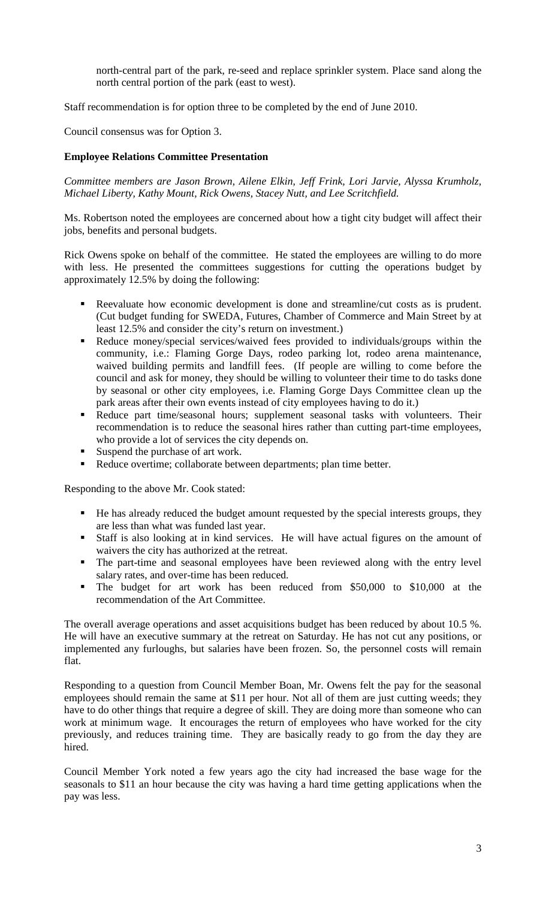north-central part of the park, re-seed and replace sprinkler system. Place sand along the north central portion of the park (east to west).

Staff recommendation is for option three to be completed by the end of June 2010.

Council consensus was for Option 3.

# **Employee Relations Committee Presentation**

*Committee members are Jason Brown, Ailene Elkin, Jeff Frink, Lori Jarvie, Alyssa Krumholz, Michael Liberty, Kathy Mount, Rick Owens, Stacey Nutt, and Lee Scritchfield.*

Ms. Robertson noted the employees are concerned about how a tight city budget will affect their jobs, benefits and personal budgets.

Rick Owens spoke on behalf of the committee. He stated the employees are willing to do more with less. He presented the committees suggestions for cutting the operations budget by approximately 12.5% by doing the following:

- Reevaluate how economic development is done and streamline/cut costs as is prudent. (Cut budget funding for SWEDA, Futures, Chamber of Commerce and Main Street by at least 12.5% and consider the city's return on investment.)
- Reduce money/special services/waived fees provided to individuals/groups within the community, i.e.: Flaming Gorge Days, rodeo parking lot, rodeo arena maintenance, waived building permits and landfill fees. (If people are willing to come before the council and ask for money, they should be willing to volunteer their time to do tasks done by seasonal or other city employees, i.e. Flaming Gorge Days Committee clean up the park areas after their own events instead of city employees having to do it.)
- Reduce part time/seasonal hours; supplement seasonal tasks with volunteers. Their recommendation is to reduce the seasonal hires rather than cutting part-time employees, who provide a lot of services the city depends on.
- Suspend the purchase of art work.
- Reduce overtime; collaborate between departments; plan time better.

Responding to the above Mr. Cook stated:

- He has already reduced the budget amount requested by the special interests groups, they are less than what was funded last year.
- Staff is also looking at in kind services. He will have actual figures on the amount of waivers the city has authorized at the retreat.
- The part-time and seasonal employees have been reviewed along with the entry level salary rates, and over-time has been reduced.
- The budget for art work has been reduced from \$50,000 to \$10,000 at the recommendation of the Art Committee.

The overall average operations and asset acquisitions budget has been reduced by about 10.5 %. He will have an executive summary at the retreat on Saturday. He has not cut any positions, or implemented any furloughs, but salaries have been frozen. So, the personnel costs will remain flat.

Responding to a question from Council Member Boan, Mr. Owens felt the pay for the seasonal employees should remain the same at \$11 per hour. Not all of them are just cutting weeds; they have to do other things that require a degree of skill. They are doing more than someone who can work at minimum wage. It encourages the return of employees who have worked for the city previously, and reduces training time. They are basically ready to go from the day they are hired.

Council Member York noted a few years ago the city had increased the base wage for the seasonals to \$11 an hour because the city was having a hard time getting applications when the pay was less.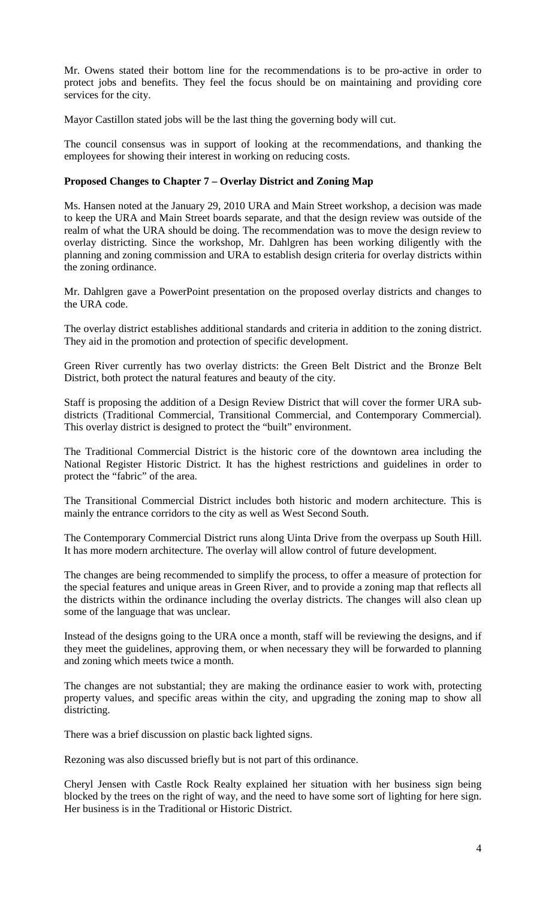Mr. Owens stated their bottom line for the recommendations is to be pro-active in order to protect jobs and benefits. They feel the focus should be on maintaining and providing core services for the city.

Mayor Castillon stated jobs will be the last thing the governing body will cut.

The council consensus was in support of looking at the recommendations, and thanking the employees for showing their interest in working on reducing costs.

# **Proposed Changes to Chapter 7 – Overlay District and Zoning Map**

Ms. Hansen noted at the January 29, 2010 URA and Main Street workshop, a decision was made to keep the URA and Main Street boards separate, and that the design review was outside of the realm of what the URA should be doing. The recommendation was to move the design review to overlay districting. Since the workshop, Mr. Dahlgren has been working diligently with the planning and zoning commission and URA to establish design criteria for overlay districts within the zoning ordinance.

Mr. Dahlgren gave a PowerPoint presentation on the proposed overlay districts and changes to the URA code.

The overlay district establishes additional standards and criteria in addition to the zoning district. They aid in the promotion and protection of specific development.

Green River currently has two overlay districts: the Green Belt District and the Bronze Belt District, both protect the natural features and beauty of the city.

Staff is proposing the addition of a Design Review District that will cover the former URA subdistricts (Traditional Commercial, Transitional Commercial, and Contemporary Commercial). This overlay district is designed to protect the "built" environment.

The Traditional Commercial District is the historic core of the downtown area including the National Register Historic District. It has the highest restrictions and guidelines in order to protect the "fabric" of the area.

The Transitional Commercial District includes both historic and modern architecture. This is mainly the entrance corridors to the city as well as West Second South.

The Contemporary Commercial District runs along Uinta Drive from the overpass up South Hill. It has more modern architecture. The overlay will allow control of future development.

The changes are being recommended to simplify the process, to offer a measure of protection for the special features and unique areas in Green River, and to provide a zoning map that reflects all the districts within the ordinance including the overlay districts. The changes will also clean up some of the language that was unclear.

Instead of the designs going to the URA once a month, staff will be reviewing the designs, and if they meet the guidelines, approving them, or when necessary they will be forwarded to planning and zoning which meets twice a month.

The changes are not substantial; they are making the ordinance easier to work with, protecting property values, and specific areas within the city, and upgrading the zoning map to show all districting.

There was a brief discussion on plastic back lighted signs.

Rezoning was also discussed briefly but is not part of this ordinance.

Cheryl Jensen with Castle Rock Realty explained her situation with her business sign being blocked by the trees on the right of way, and the need to have some sort of lighting for here sign. Her business is in the Traditional or Historic District.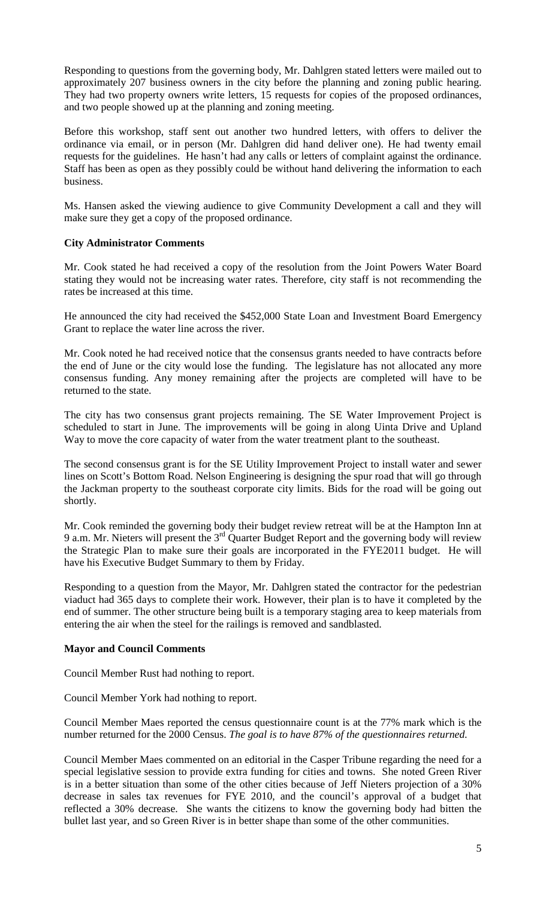Responding to questions from the governing body, Mr. Dahlgren stated letters were mailed out to approximately 207 business owners in the city before the planning and zoning public hearing. They had two property owners write letters, 15 requests for copies of the proposed ordinances, and two people showed up at the planning and zoning meeting.

Before this workshop, staff sent out another two hundred letters, with offers to deliver the ordinance via email, or in person (Mr. Dahlgren did hand deliver one). He had twenty email requests for the guidelines. He hasn't had any calls or letters of complaint against the ordinance. Staff has been as open as they possibly could be without hand delivering the information to each business.

Ms. Hansen asked the viewing audience to give Community Development a call and they will make sure they get a copy of the proposed ordinance.

### **City Administrator Comments**

Mr. Cook stated he had received a copy of the resolution from the Joint Powers Water Board stating they would not be increasing water rates. Therefore, city staff is not recommending the rates be increased at this time.

He announced the city had received the \$452,000 State Loan and Investment Board Emergency Grant to replace the water line across the river.

Mr. Cook noted he had received notice that the consensus grants needed to have contracts before the end of June or the city would lose the funding. The legislature has not allocated any more consensus funding. Any money remaining after the projects are completed will have to be returned to the state.

The city has two consensus grant projects remaining. The SE Water Improvement Project is scheduled to start in June. The improvements will be going in along Uinta Drive and Upland Way to move the core capacity of water from the water treatment plant to the southeast.

The second consensus grant is for the SE Utility Improvement Project to install water and sewer lines on Scott's Bottom Road. Nelson Engineering is designing the spur road that will go through the Jackman property to the southeast corporate city limits. Bids for the road will be going out shortly.

Mr. Cook reminded the governing body their budget review retreat will be at the Hampton Inn at 9 a.m. Mr. Nieters will present the  $3<sup>rd</sup>$  Quarter Budget Report and the governing body will review the Strategic Plan to make sure their goals are incorporated in the FYE2011 budget. He will have his Executive Budget Summary to them by Friday.

Responding to a question from the Mayor, Mr. Dahlgren stated the contractor for the pedestrian viaduct had 365 days to complete their work. However, their plan is to have it completed by the end of summer. The other structure being built is a temporary staging area to keep materials from entering the air when the steel for the railings is removed and sandblasted.

# **Mayor and Council Comments**

Council Member Rust had nothing to report.

Council Member York had nothing to report.

Council Member Maes reported the census questionnaire count is at the 77% mark which is the number returned for the 2000 Census. *The goal is to have 87% of the questionnaires returned.*

Council Member Maes commented on an editorial in the Casper Tribune regarding the need for a special legislative session to provide extra funding for cities and towns. She noted Green River is in a better situation than some of the other cities because of Jeff Nieters projection of a 30% decrease in sales tax revenues for FYE 2010, and the council's approval of a budget that reflected a 30% decrease. She wants the citizens to know the governing body had bitten the bullet last year, and so Green River is in better shape than some of the other communities.